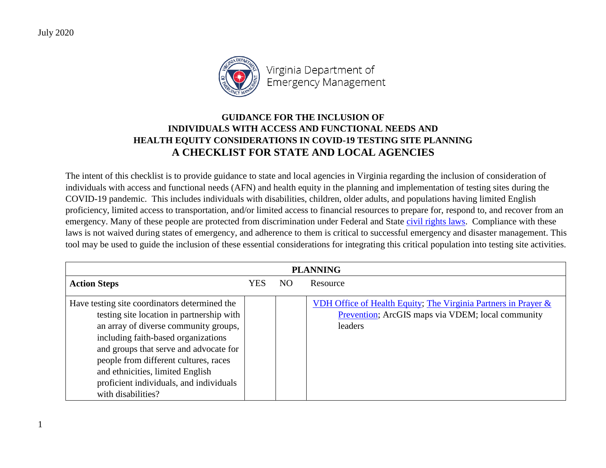1



Virginia Department of Emergency Management

## **GUIDANCE FOR THE INCLUSION OF INDIVIDUALS WITH ACCESS AND FUNCTIONAL NEEDS AND HEALTH EQUITY CONSIDERATIONS IN COVID-19 TESTING SITE PLANNING A CHECKLIST FOR STATE AND LOCAL AGENCIES**

The intent of this checklist is to provide guidance to state and local agencies in Virginia regarding the inclusion of consideration of individuals with access and functional needs (AFN) and health equity in the planning and implementation of testing sites during the COVID-19 pandemic. This includes individuals with disabilities, children, older adults, and populations having limited English proficiency, limited access to transportation, and/or limited access to financial resources to prepare for, respond to, and recover from an emergency. Many of these people are protected from discrimination under Federal and State [civil rights laws.](https://www.fema.gov/media-library-data/1586893628400-f21a380f3db223e6075eeb3be67d50a6/EnsuringCivilRightsDuringtheCOVID19Response.pdf) Compliance with these laws is not waived during states of emergency, and adherence to them is critical to successful emergency and disaster management. This tool may be used to guide the inclusion of these essential considerations for integrating this critical population into testing site activities.

| <b>PLANNING</b>                                                                                                                                                                                                                                                                                                                                                    |     |     |                                                                                                                                |
|--------------------------------------------------------------------------------------------------------------------------------------------------------------------------------------------------------------------------------------------------------------------------------------------------------------------------------------------------------------------|-----|-----|--------------------------------------------------------------------------------------------------------------------------------|
| <b>Action Steps</b>                                                                                                                                                                                                                                                                                                                                                | YES | NO. | Resource                                                                                                                       |
| Have testing site coordinators determined the<br>testing site location in partnership with<br>an array of diverse community groups,<br>including faith-based organizations<br>and groups that serve and advocate for<br>people from different cultures, races<br>and ethnicities, limited English<br>proficient individuals, and individuals<br>with disabilities? |     |     | VDH Office of Health Equity; The Virginia Partners in Prayer &<br>Prevention; ArcGIS maps via VDEM; local community<br>leaders |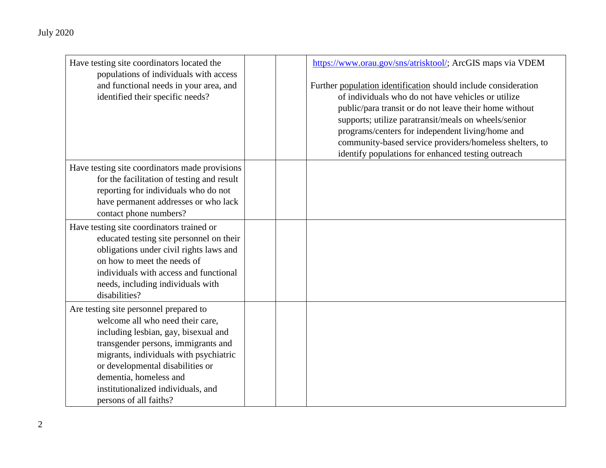| Have testing site coordinators located the     | https://www.orau.gov/sns/atrisktool/; ArcGIS maps via VDEM     |
|------------------------------------------------|----------------------------------------------------------------|
| populations of individuals with access         |                                                                |
| and functional needs in your area, and         | Further population identification should include consideration |
| identified their specific needs?               | of individuals who do not have vehicles or utilize             |
|                                                | public/para transit or do not leave their home without         |
|                                                | supports; utilize paratransit/meals on wheels/senior           |
|                                                | programs/centers for independent living/home and               |
|                                                | community-based service providers/homeless shelters, to        |
|                                                | identify populations for enhanced testing outreach             |
| Have testing site coordinators made provisions |                                                                |
| for the facilitation of testing and result     |                                                                |
| reporting for individuals who do not           |                                                                |
| have permanent addresses or who lack           |                                                                |
| contact phone numbers?                         |                                                                |
| Have testing site coordinators trained or      |                                                                |
| educated testing site personnel on their       |                                                                |
| obligations under civil rights laws and        |                                                                |
| on how to meet the needs of                    |                                                                |
| individuals with access and functional         |                                                                |
| needs, including individuals with              |                                                                |
| disabilities?                                  |                                                                |
| Are testing site personnel prepared to         |                                                                |
| welcome all who need their care,               |                                                                |
| including lesbian, gay, bisexual and           |                                                                |
| transgender persons, immigrants and            |                                                                |
| migrants, individuals with psychiatric         |                                                                |
| or developmental disabilities or               |                                                                |
| dementia, homeless and                         |                                                                |
| institutionalized individuals, and             |                                                                |
| persons of all faiths?                         |                                                                |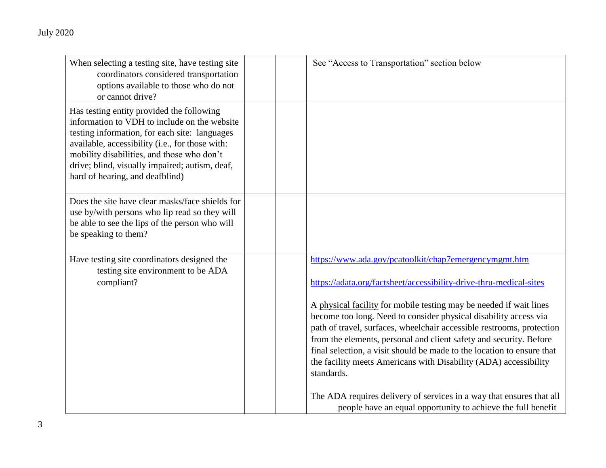| When selecting a testing site, have testing site<br>coordinators considered transportation<br>options available to those who do not<br>or cannot drive?                                                                                                                                                                          | See "Access to Transportation" section below                                                                                                                                                                                                                                                                                                                                                                                                                                                                                                                                                                                                                                                                             |
|----------------------------------------------------------------------------------------------------------------------------------------------------------------------------------------------------------------------------------------------------------------------------------------------------------------------------------|--------------------------------------------------------------------------------------------------------------------------------------------------------------------------------------------------------------------------------------------------------------------------------------------------------------------------------------------------------------------------------------------------------------------------------------------------------------------------------------------------------------------------------------------------------------------------------------------------------------------------------------------------------------------------------------------------------------------------|
| Has testing entity provided the following<br>information to VDH to include on the website<br>testing information, for each site: languages<br>available, accessibility (i.e., for those with:<br>mobility disabilities, and those who don't<br>drive; blind, visually impaired; autism, deaf,<br>hard of hearing, and deafblind) |                                                                                                                                                                                                                                                                                                                                                                                                                                                                                                                                                                                                                                                                                                                          |
| Does the site have clear masks/face shields for<br>use by/with persons who lip read so they will<br>be able to see the lips of the person who will<br>be speaking to them?                                                                                                                                                       |                                                                                                                                                                                                                                                                                                                                                                                                                                                                                                                                                                                                                                                                                                                          |
| Have testing site coordinators designed the<br>testing site environment to be ADA<br>compliant?                                                                                                                                                                                                                                  | https://www.ada.gov/pcatoolkit/chap7emergencymgmt.htm<br>https://adata.org/factsheet/accessibility-drive-thru-medical-sites<br>A physical facility for mobile testing may be needed if wait lines<br>become too long. Need to consider physical disability access via<br>path of travel, surfaces, wheelchair accessible restrooms, protection<br>from the elements, personal and client safety and security. Before<br>final selection, a visit should be made to the location to ensure that<br>the facility meets Americans with Disability (ADA) accessibility<br>standards.<br>The ADA requires delivery of services in a way that ensures that all<br>people have an equal opportunity to achieve the full benefit |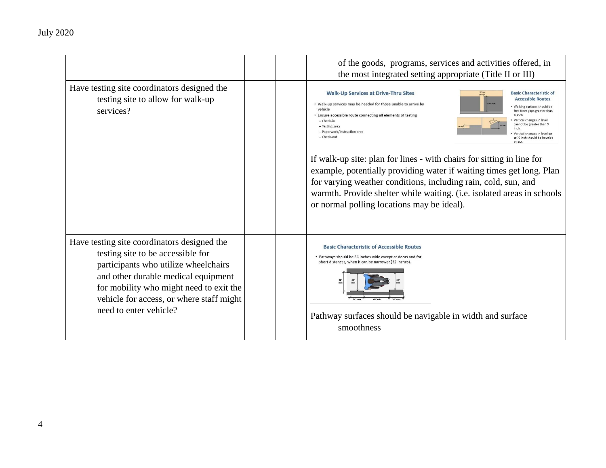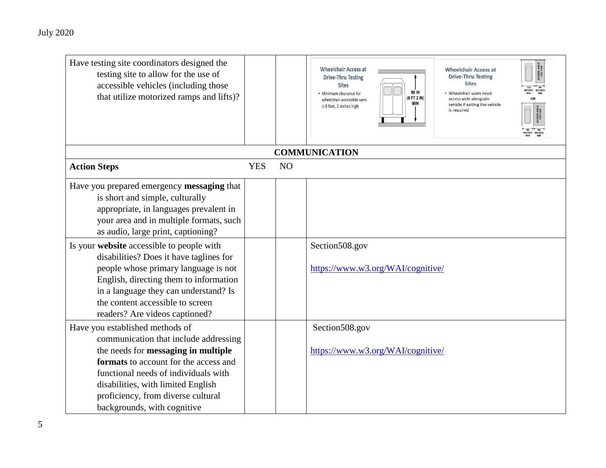| Have testing site coordinators designed the<br>testing site to allow for the use of<br>accessible vehicles (including those<br>that utilize motorized ramps and lifts)?                                                                                                                                                                                                                                                                                                                           |            |                | <b>Wheelchair Access at</b><br><b>Wheelchair Access at</b><br><b>Drive-Thru Testing</b><br><b>Drive-Thru Testing</b><br><b>Sites</b><br><b>Sites</b><br>98 IN<br>· Minimum clearance for<br>• Wheelchair users need<br>(8 FT 2 IN)<br>access aisle alongside<br>wheelchair-accessible vans<br>MIN<br>vehicle if exiting the vehicle<br>is 8 feet, 2 inches high<br>is required<br><b>COMMUNICATION</b> |
|---------------------------------------------------------------------------------------------------------------------------------------------------------------------------------------------------------------------------------------------------------------------------------------------------------------------------------------------------------------------------------------------------------------------------------------------------------------------------------------------------|------------|----------------|--------------------------------------------------------------------------------------------------------------------------------------------------------------------------------------------------------------------------------------------------------------------------------------------------------------------------------------------------------------------------------------------------------|
| <b>Action Steps</b>                                                                                                                                                                                                                                                                                                                                                                                                                                                                               | <b>YES</b> | N <sub>O</sub> |                                                                                                                                                                                                                                                                                                                                                                                                        |
| Have you prepared emergency messaging that<br>is short and simple, culturally<br>appropriate, in languages prevalent in<br>your area and in multiple formats, such<br>as audio, large print, captioning?<br>Is your website accessible to people with<br>disabilities? Does it have taglines for<br>people whose primary language is not<br>English, directing them to information<br>in a language they can understand? Is<br>the content accessible to screen<br>readers? Are videos captioned? |            |                | Section508.gov<br>https://www.w3.org/WAI/cognitive/                                                                                                                                                                                                                                                                                                                                                    |
| Have you established methods of<br>communication that include addressing<br>the needs for messaging in multiple<br>formats to account for the access and<br>functional needs of individuals with<br>disabilities, with limited English<br>proficiency, from diverse cultural<br>backgrounds, with cognitive                                                                                                                                                                                       |            |                | Section508.gov<br>https://www.w3.org/WAI/cognitive/                                                                                                                                                                                                                                                                                                                                                    |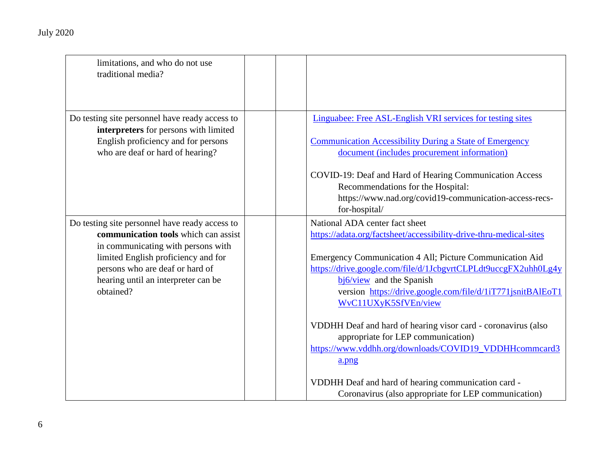| limitations, and who do not use<br>traditional media?                                                                                                                                                                                                      |                                                                                                                                                                                                                                                                                                                                                                                                                                                                                                                                                                                                                                                 |
|------------------------------------------------------------------------------------------------------------------------------------------------------------------------------------------------------------------------------------------------------------|-------------------------------------------------------------------------------------------------------------------------------------------------------------------------------------------------------------------------------------------------------------------------------------------------------------------------------------------------------------------------------------------------------------------------------------------------------------------------------------------------------------------------------------------------------------------------------------------------------------------------------------------------|
| Do testing site personnel have ready access to<br>interpreters for persons with limited<br>English proficiency and for persons<br>who are deaf or hard of hearing?                                                                                         | Linguabee: Free ASL-English VRI services for testing sites<br><b>Communication Accessibility During a State of Emergency</b><br>document (includes procurement information)<br>COVID-19: Deaf and Hard of Hearing Communication Access<br>Recommendations for the Hospital:<br>https://www.nad.org/covid19-communication-access-recs-<br>for-hospital/                                                                                                                                                                                                                                                                                          |
| Do testing site personnel have ready access to<br>communication tools which can assist<br>in communicating with persons with<br>limited English proficiency and for<br>persons who are deaf or hard of<br>hearing until an interpreter can be<br>obtained? | National ADA center fact sheet<br>https://adata.org/factsheet/accessibility-drive-thru-medical-sites<br>Emergency Communication 4 All; Picture Communication Aid<br>https://drive.google.com/file/d/1JcbgvrtCLPLdt9uccgFX2uhh0Lg4y<br>$bi6/view$ and the Spanish<br>version https://drive.google.com/file/d/1iT771jsnitBAlEoT1<br>WvC11UXyK5SfVEn/view<br>VDDHH Deaf and hard of hearing visor card - coronavirus (also<br>appropriate for LEP communication)<br>https://www.vddhh.org/downloads/COVID19_VDDHHcommcard3<br>a.png<br>VDDHH Deaf and hard of hearing communication card -<br>Coronavirus (also appropriate for LEP communication) |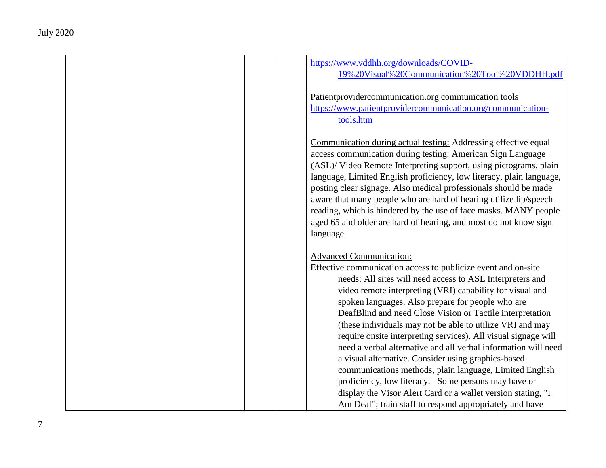| https://www.vddhh.org/downloads/COVID-<br>19%20Visual%20Communication%20Tool%20VDDHH.pdf                                                                                                                                                                                                                                                                                                                                                                                                                                                                                  |
|---------------------------------------------------------------------------------------------------------------------------------------------------------------------------------------------------------------------------------------------------------------------------------------------------------------------------------------------------------------------------------------------------------------------------------------------------------------------------------------------------------------------------------------------------------------------------|
| Patient provider communication.org communication tools<br>https://www.patientprovidercommunication.org/communication-<br>tools.htm                                                                                                                                                                                                                                                                                                                                                                                                                                        |
| Communication during actual testing: Addressing effective equal<br>access communication during testing: American Sign Language<br>(ASL)/ Video Remote Interpreting support, using pictograms, plain<br>language, Limited English proficiency, low literacy, plain language,<br>posting clear signage. Also medical professionals should be made<br>aware that many people who are hard of hearing utilize lip/speech<br>reading, which is hindered by the use of face masks. MANY people<br>aged 65 and older are hard of hearing, and most do not know sign<br>language. |
| <b>Advanced Communication:</b><br>Effective communication access to publicize event and on-site<br>needs: All sites will need access to ASL Interpreters and<br>video remote interpreting (VRI) capability for visual and<br>spoken languages. Also prepare for people who are<br>DeafBlind and need Close Vision or Tactile interpretation<br>(these individuals may not be able to utilize VRI and may<br>require onsite interpreting services). All visual signage will                                                                                                |
| need a verbal alternative and all verbal information will need<br>a visual alternative. Consider using graphics-based<br>communications methods, plain language, Limited English<br>proficiency, low literacy. Some persons may have or<br>display the Visor Alert Card or a wallet version stating, "I<br>Am Deaf"; train staff to respond appropriately and have                                                                                                                                                                                                        |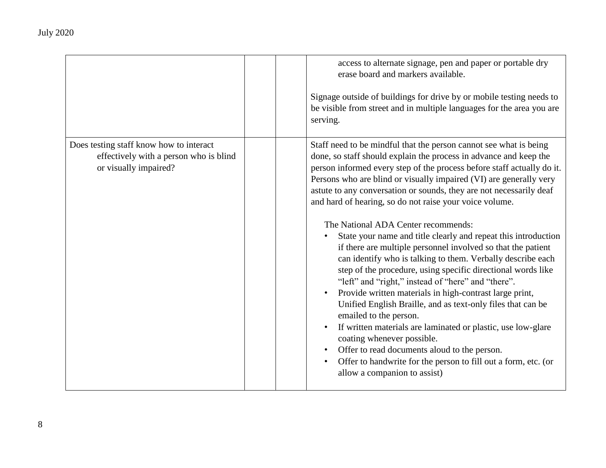|                                                                                                            | access to alternate signage, pen and paper or portable dry<br>erase board and markers available.<br>Signage outside of buildings for drive by or mobile testing needs to<br>be visible from street and in multiple languages for the area you are<br>serving.                                                                                                                                                                                                                                                                                                                                                                                                                                                                                                                                                                                                                                                                                                                                                                                                                                                                                                                              |
|------------------------------------------------------------------------------------------------------------|--------------------------------------------------------------------------------------------------------------------------------------------------------------------------------------------------------------------------------------------------------------------------------------------------------------------------------------------------------------------------------------------------------------------------------------------------------------------------------------------------------------------------------------------------------------------------------------------------------------------------------------------------------------------------------------------------------------------------------------------------------------------------------------------------------------------------------------------------------------------------------------------------------------------------------------------------------------------------------------------------------------------------------------------------------------------------------------------------------------------------------------------------------------------------------------------|
| Does testing staff know how to interact<br>effectively with a person who is blind<br>or visually impaired? | Staff need to be mindful that the person cannot see what is being<br>done, so staff should explain the process in advance and keep the<br>person informed every step of the process before staff actually do it.<br>Persons who are blind or visually impaired (VI) are generally very<br>astute to any conversation or sounds, they are not necessarily deaf<br>and hard of hearing, so do not raise your voice volume.<br>The National ADA Center recommends:<br>State your name and title clearly and repeat this introduction<br>if there are multiple personnel involved so that the patient<br>can identify who is talking to them. Verbally describe each<br>step of the procedure, using specific directional words like<br>"left" and "right," instead of "here" and "there".<br>Provide written materials in high-contrast large print,<br>Unified English Braille, and as text-only files that can be<br>emailed to the person.<br>If written materials are laminated or plastic, use low-glare<br>coating whenever possible.<br>Offer to read documents aloud to the person.<br>Offer to handwrite for the person to fill out a form, etc. (or<br>allow a companion to assist) |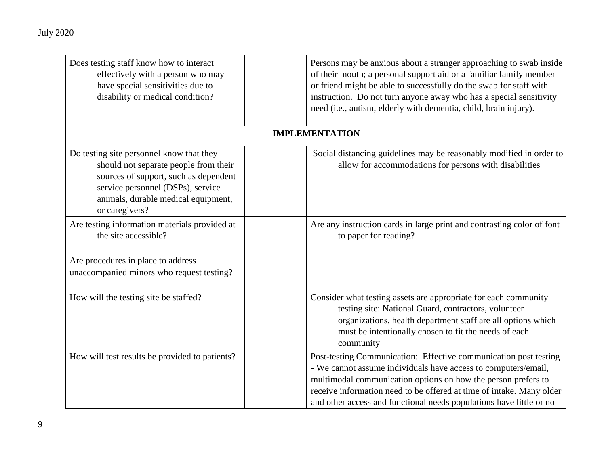| Does testing staff know how to interact<br>effectively with a person who may<br>have special sensitivities due to<br>disability or medical condition?                                                                    | Persons may be anxious about a stranger approaching to swab inside<br>of their mouth; a personal support aid or a familiar family member<br>or friend might be able to successfully do the swab for staff with<br>instruction. Do not turn anyone away who has a special sensitivity<br>need (i.e., autism, elderly with dementia, child, brain injury). |
|--------------------------------------------------------------------------------------------------------------------------------------------------------------------------------------------------------------------------|----------------------------------------------------------------------------------------------------------------------------------------------------------------------------------------------------------------------------------------------------------------------------------------------------------------------------------------------------------|
|                                                                                                                                                                                                                          | <b>IMPLEMENTATION</b>                                                                                                                                                                                                                                                                                                                                    |
| Do testing site personnel know that they<br>should not separate people from their<br>sources of support, such as dependent<br>service personnel (DSPs), service<br>animals, durable medical equipment,<br>or caregivers? | Social distancing guidelines may be reasonably modified in order to<br>allow for accommodations for persons with disabilities                                                                                                                                                                                                                            |
| Are testing information materials provided at<br>the site accessible?                                                                                                                                                    | Are any instruction cards in large print and contrasting color of font<br>to paper for reading?                                                                                                                                                                                                                                                          |
| Are procedures in place to address<br>unaccompanied minors who request testing?                                                                                                                                          |                                                                                                                                                                                                                                                                                                                                                          |
| How will the testing site be staffed?                                                                                                                                                                                    | Consider what testing assets are appropriate for each community<br>testing site: National Guard, contractors, volunteer<br>organizations, health department staff are all options which<br>must be intentionally chosen to fit the needs of each<br>community                                                                                            |
| How will test results be provided to patients?                                                                                                                                                                           | Post-testing Communication: Effective communication post testing<br>- We cannot assume individuals have access to computers/email,<br>multimodal communication options on how the person prefers to<br>receive information need to be offered at time of intake. Many older<br>and other access and functional needs populations have little or no       |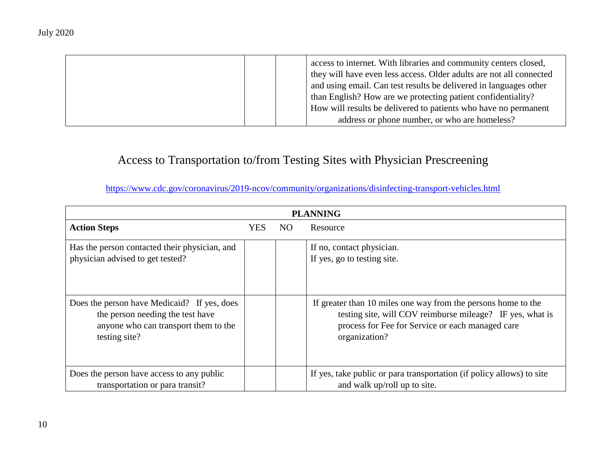| access to internet. With libraries and community centers closed,<br>they will have even less access. Older adults are not all connected |
|-----------------------------------------------------------------------------------------------------------------------------------------|
|                                                                                                                                         |
| and using email. Can test results be delivered in languages other                                                                       |
| than English? How are we protecting patient confidentiality?                                                                            |
| How will results be delivered to patients who have no permanent                                                                         |
| address or phone number, or who are homeless?                                                                                           |

## Access to Transportation to/from Testing Sites with Physician Prescreening

<https://www.cdc.gov/coronavirus/2019-ncov/community/organizations/disinfecting-transport-vehicles.html>

| <b>PLANNING</b>                                                                                                                          |     |     |                                                                                                                                                                                                 |
|------------------------------------------------------------------------------------------------------------------------------------------|-----|-----|-------------------------------------------------------------------------------------------------------------------------------------------------------------------------------------------------|
| <b>Action Steps</b>                                                                                                                      | YES | NO. | Resource                                                                                                                                                                                        |
| Has the person contacted their physician, and<br>physician advised to get tested?                                                        |     |     | If no, contact physician.<br>If yes, go to testing site.                                                                                                                                        |
| Does the person have Medicaid? If yes, does<br>the person needing the test have<br>anyone who can transport them to the<br>testing site? |     |     | If greater than 10 miles one way from the persons home to the<br>testing site, will COV reimburse mileage? IF yes, what is<br>process for Fee for Service or each managed care<br>organization? |
| Does the person have access to any public<br>transportation or para transit?                                                             |     |     | If yes, take public or para transportation (if policy allows) to site<br>and walk up/roll up to site.                                                                                           |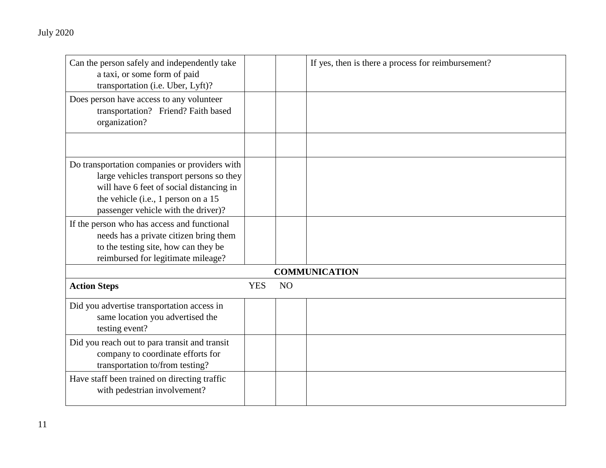| Can the person safely and independently take<br>a taxi, or some form of paid<br>transportation (i.e. Uber, Lyft)?                                                                                                   |            |    | If yes, then is there a process for reimbursement? |  |
|---------------------------------------------------------------------------------------------------------------------------------------------------------------------------------------------------------------------|------------|----|----------------------------------------------------|--|
| Does person have access to any volunteer<br>transportation? Friend? Faith based<br>organization?                                                                                                                    |            |    |                                                    |  |
|                                                                                                                                                                                                                     |            |    |                                                    |  |
| Do transportation companies or providers with<br>large vehicles transport persons so they<br>will have 6 feet of social distancing in<br>the vehicle (i.e., 1 person on a 15<br>passenger vehicle with the driver)? |            |    |                                                    |  |
| If the person who has access and functional<br>needs has a private citizen bring them<br>to the testing site, how can they be<br>reimbursed for legitimate mileage?                                                 |            |    |                                                    |  |
| <b>COMMUNICATION</b>                                                                                                                                                                                                |            |    |                                                    |  |
| <b>Action Steps</b>                                                                                                                                                                                                 | <b>YES</b> | NO |                                                    |  |
| Did you advertise transportation access in<br>same location you advertised the<br>testing event?                                                                                                                    |            |    |                                                    |  |
| Did you reach out to para transit and transit<br>company to coordinate efforts for<br>transportation to/from testing?                                                                                               |            |    |                                                    |  |
| Have staff been trained on directing traffic<br>with pedestrian involvement?                                                                                                                                        |            |    |                                                    |  |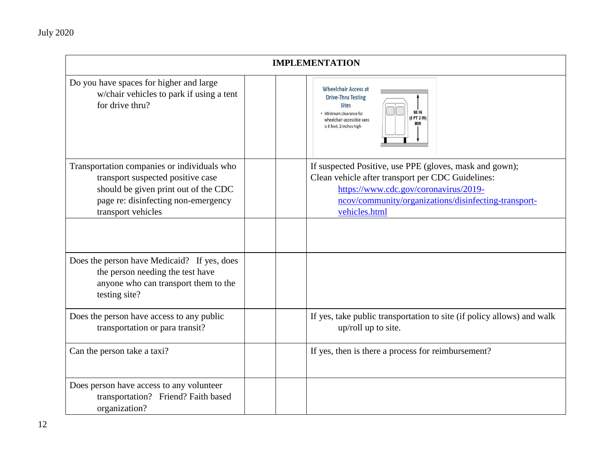| <b>IMPLEMENTATION</b>                                                                                                                                                                 |                                                                                                                                                                                                                                |  |
|---------------------------------------------------------------------------------------------------------------------------------------------------------------------------------------|--------------------------------------------------------------------------------------------------------------------------------------------------------------------------------------------------------------------------------|--|
| Do you have spaces for higher and large<br>w/chair vehicles to park if using a tent<br>for drive thru?                                                                                | <b>Wheelchair Access at</b><br><b>Drive-Thru Testing</b><br><b>Sites</b><br>98 IN<br>· Minimum clearance for<br>(8 FT 2 IN)<br>wheelchair-accessible vans<br>is 8 feet, 2 inches high                                          |  |
| Transportation companies or individuals who<br>transport suspected positive case<br>should be given print out of the CDC<br>page re: disinfecting non-emergency<br>transport vehicles | If suspected Positive, use PPE (gloves, mask and gown);<br>Clean vehicle after transport per CDC Guidelines:<br>https://www.cdc.gov/coronavirus/2019-<br>ncov/community/organizations/disinfecting-transport-<br>vehicles.html |  |
|                                                                                                                                                                                       |                                                                                                                                                                                                                                |  |
| Does the person have Medicaid? If yes, does<br>the person needing the test have<br>anyone who can transport them to the<br>testing site?                                              |                                                                                                                                                                                                                                |  |
| Does the person have access to any public<br>transportation or para transit?                                                                                                          | If yes, take public transportation to site (if policy allows) and walk<br>up/roll up to site.                                                                                                                                  |  |
| Can the person take a taxi?                                                                                                                                                           | If yes, then is there a process for reimbursement?                                                                                                                                                                             |  |
| Does person have access to any volunteer<br>transportation? Friend? Faith based<br>organization?                                                                                      |                                                                                                                                                                                                                                |  |